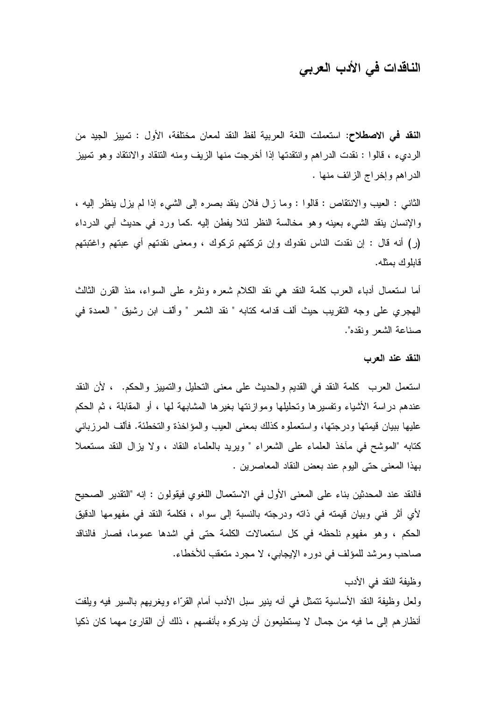# الناقدات في الأدب العربي

ا**لنقد في الاصطلاح:** استعملت اللغة العربية لفظ النقد لمعان مختلفة، الأول : تمييز الجيد من الرديء ، قالوا : نقدت الدراهم وانتقدتها إذا أخرجت منها الزيف ومنه التنقاد والانتقاد وهو تمييز الدراهم وإخراج الزائف منها .

الثانبي : العيب والانتقاص : قالوا : وما زال فلان ينقد بصره إلى الشيء إذا لم يزل ينظر إليه ، والإنسان ينقد الشيء بعينه وهو مخالسة النظر لئلا يفطن إليه .كما ورد في حديث أبي الدرداء (ر) أنه قال : إن نقدت الناس نقدوك وإن تركتهم تركوك ، ومعنى نقدتهم أي عبتهم واغتبتهم قابلوك بمثله.

أما استعمال أدباء العرب كلمة النقد هي نقد الكلام شعره ونثره على السواء، منذ القرن الثالث الهجر ي على وجه التقريب حيث ألف قدامه كتابه " نقد الشعر " وألف ابن رشيق " العمدة في صناعة الشعر ونقده".

#### النقد عند العرب

استعمل العرب كلمة النقد في القديم والحديث على معنى التحليل والتمييز والحكم. ، لأن النقد عندهم دراسة الأشياء وتفسيرها وتحليلها وموازنتها بغيرها المشابهة لها ، أو المقابلة ، ثم الحكم عليها ببيان قيمتها ودرجتها، واستعملوه كذلك بمعنى العيب والمؤاخذة والتخطئة. فألف المرزباني كتابه "الموشح في مأخذ العلماء على الشعراء " ويريد بالعلماء النقاد ، ولا يزال النقد مستعملا بهذا المعنى حتى اليوم عند بعض النقاد المعاصرين .

فالنقد عند المحدثين بناء على المعنى الأول في الاستعمال اللغوي فيقولون : إنه "التقدير الصحيح لأي أثر فني وبيان قيمته في ذاته ودرجته بالنسبة إلى سواه ، فكلمة النقد في مفهومها الدقيق الحكم ، وهو مفهوم نلحظه في كل استعمالات الكلمة حتى في اشدها عموما، فصار فالناقد صاحب ومرشد للمؤلف في دوره الإيجابي، لا مجرد متعقب للأخطاء.

وظيفة النقد في الأدب

ولعل وظيفة النقد الأساسية نتمثل في أنه ينير سبل الأدب أمام القرّاء ويغريهم بالسير فيه ويلفت أنظارهم إلى ما فيه من جمال لا يستطيعون أن يدركوه بأنفسهم ، ذلك أن القارئ مهما كان ذكيا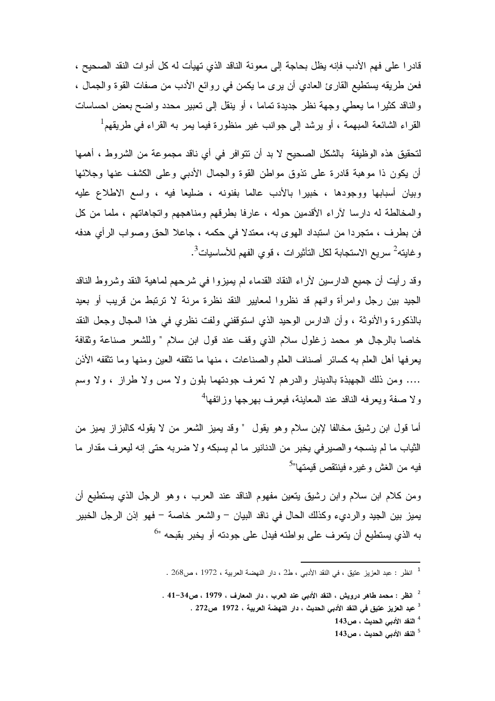قادر ا على فهم الأدب فإنه يظل بحاجة إلى معونة الناقد الذي تهيأت له كل أدوات النقد الصحيح ، فعن طريقه يستطيع القارئ العادي أن يرى ما يكمن في روائع الأدب من صفات القوة والجمال ، والناقد كثيرًا ما يعطي وجهة نظرٍ جديدة تمامًا ، أو ينقل إلى تعبيرٍ محددٍ واضحٍ بعضٍ احساساتٍ القراء الشائعة المبهمة ، أو يرشد إلى جوانب غير منظورة فيما يمر به القراء في طريقهم<sup>1</sup>

لتحقيق هذه الوظيفة بالشكل الصحيح لا بد أن تتوافر في أي ناقد مجموعة من الشروط ، أهمها أن يكون ذا موهبة قادرة على تذوق مواطن القوة والجمال الأدبي وعلى الكشف عنها وجلائها وبيان أسبابها ووجودها ، خبيرا بالأدب عالما بفنونه ، ضليعا فيه ، واسع الاطلاع عليه والمخالطة له دارسا لأراء الأقدمين حوله ، عارفا بطرقهم ومناهجهم واتجاهاتهم ، ملما من كل فن بطرف ، متجردا من استبداد الهوى به، معتدلا في حكمه ، جاعلا الحق وصواب الرأي هدفه و غابته<sup>2</sup> سر يع الاستجابة لكل التأثير ات ، قو ي الفهم للأساسيات<sup>3</sup>.

وقد رأيت أن جميع الدارسين لأراء النقاد القدماء لم يميزوا في شرحهم لماهية النقد وشروط الناقد الجيد بين رجل وامرأة وانهم قد نظروا لمعايير النقد نظرة مرنة لا ترتبط من قريب أو بعيد بالذكورة والأنوثة ، وأن الدارس الوحيد الذي استوقفني ولفت نظري في هذا المجال وجعل النقد خاصا بالرجال هو محمد زغلول سلام الذي وقف عند قول ابن سلام " وللشعر صناعة وثقافة يعرفها أهل العلم به كسائر أصناف العلم والصناعات ، منها ما تثقفه العين ومنها وما تثقفه الأذن .... ومن ذلك الجهبذة بالدينار والدر هم لا تعرف جودتهما بلون ولا مس ولا طراز ، ولا وسم و لا صفة ويعرفه الناقد عند المعاينة، فيعرف بـهر جها وز ائفها<sup>4</sup>

أما قول ابن رشيق مخالفا لإبن سلام وهو يقول " وقد يميز الشعر من لا يقوله كالبزاز يميز من الثياب ما لم ينسجه والصيرفي يخبر من الدنانير ما لم يسبكه ولا ضربه حتى إنه ليعرف مقدار ما فيه من الغش وغيره فينتقص قيمتها"<sup>5</sup>

ومن كلام ابن سلام وابن رشيق يتعين مفهوم الناقد عند العرب ، وهو الرجل الذي يستطيع أن يميز بين الجيد والرديء وكذلك الحال في ناقد البيان – والشعر خاصة – فهو إذن الرجل الخبير به الذي يستطيع أن يتعرف على بواطنه فيدل على جودته أو يخبر بقبحه "<sup>6</sup>

<sup>&</sup>lt;sup>1</sup> انظر : عبد العزيز عتيق ، في النقد الأدببي ، ط2 ، دار النهضة العربية ، 1972 ، ص268 .

 $^{-2}$ انظر : محمد طاهر درويش ، النقد الأدبي عند العرب ، دار المعارف ، 1979 ، ص34–41 .

<sup>&</sup>lt;sup>3</sup> عبد العزيز عتيق في النقد الأدبي الحديث ، دار النهضة العربية ، 1972 ص272 .

 $^4$ النقد الأدبى الحديث ، ص143  $^4$ 

 $^{-1}$ النقد الأدبي الحديث ، ص $^{-5}$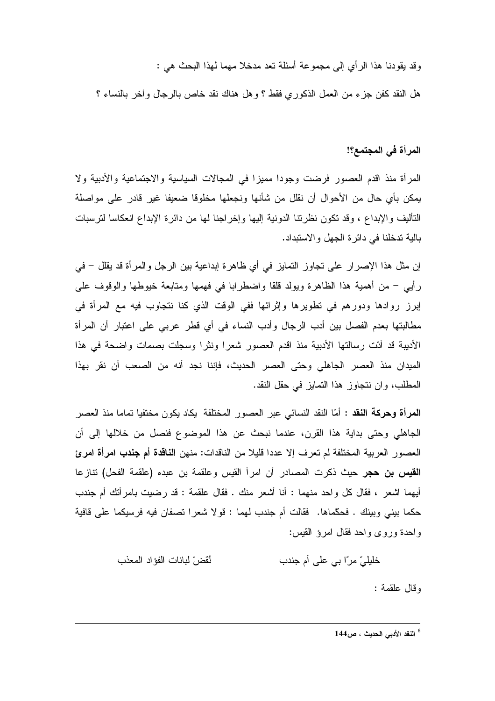وقد يقودنا هذا الرأى إلى مجموعة أسئلة تعد مدخلا مهما لهذا البحث هي :

هل النقد كفن جزء من العمل الذكور ي فقط ؟ و هل هناك نقد خاص بالرجال و أخر بالنساء ؟

# المرأة في المجتمع؟!

المرأة منذ اقدم العصور فرضت وجودا مميزا في المجالات السياسية والاجتماعية والأدبية ولا يمكن بأي حال من الأحوال أن نقلل من شأنها ونجعلها مخلوقا ضعيفا غير قادر على مواصلة التأليف والإبداع ، وقد تكون نظرتنا الدونية إليها وإخراجنا لها من دائرة الإبداع انعكاسا لترسبات بالية تدخلنا في دائرة الجهل والاستبداد.

إن مثل هذا الإصرار على تجاوز التمايز في أي ظاهرة إبداعية بين الرجل والمرأة قد يقلل – في رأيي – من أهمية هذا الظاهرة ويولد قلقا واضطرابا في فهمها ومتابعة خيوطها والوقوف على إبرز روادها ودورهم في نطويرها وإثرائها ففي الوقت الذي كنا نتجاوب فيه مع المرأة في مطالبتها بعدم الفصل بين أدب الرجال وأدب النساء في أي قطر عربي على اعتبار أن المرأة الأديبة قد أدّت رسالتها الأدبية منذ اقدم العصور شعرا ونثرا وسجلت بصمات واضحة في هذا الميدان منذ العصر الجاهلي وحتى العصر الحديث، فإننا نجد أنه من الصعب أن نقر بهذا المطلب، وإن نتجاوز هذا التمايز في حقل النقد.

ا**لمرأة وحركة النقد :** أمّا النقد النسائـي عبر العصـور المختلفة يكاد يكون مختفيا تماما منذ العصـر الجاهلي وحتى بداية هذا القرن، عندما نبحث عن هذا الموضوع فنصل من خلالها إلى أن العصور العربية المختلفة لم تعرف إلا عددا قليلا من الناقدات: منهن ا**لناقدة أم جندب امرأة امرئ** ا**لقيس بن حجر** حيث ذكرت المصـادر أن امرأ القيس وعلقمة بن عبده (علقمة الفحل) تنازعا أيهما اشعر ، فقال كل واحد منهما : أنا أشعر منك . فقال علقمة : قد رضيت بامرأنك أم جندب حكما بيني وبينك . فحكَّماها. فقالت أم جندب لهما : قولا شعرا تصفان فيه فرسيكما على قافية واحدة وروى واحد فقال امرؤ القيس:

> نُقضّ لبانات الفؤاد المعذب خليليّ مرّا بي علي أم جندب

> > وقال علقمة :

<sup>6</sup> النقد الأدبي الحديث ، ص144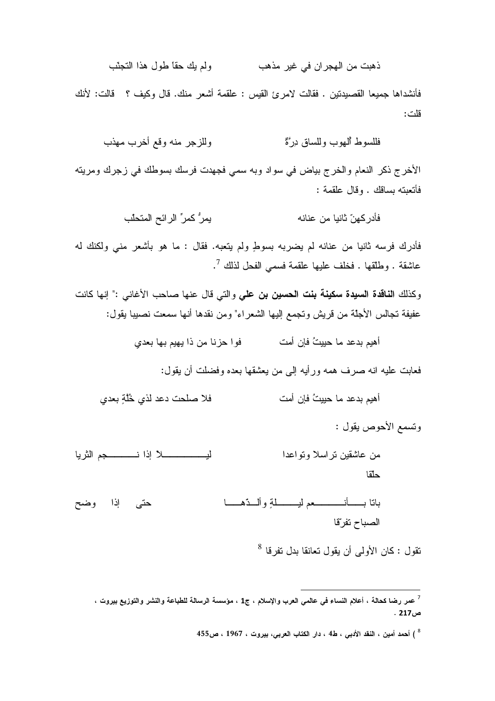ولم يك حقأ طول هذا التجنّب ذهبت من الهجران في غير مذهب

فأنشداها جميعا القصيدتين . فقالت لامرئ القيس : علقمة أشعر منك. قال وكيف ؟ قالت: لأنك قلت:

الأخرج ذكر النعام والخرج بياض في سواد وبه سمي فجهدت فرسك بسوطك في زجرك ومريته فأتعبته بساقك . وقال علقمة :

فأدرك فرسه ثانيا من عنانه لم يضربه بسوطٍ ولم يتعبه. فقال : ما هو بأشعر منى ولكنك له عاشقة . وطلقها . فخلف عليها علقمة فسمى الفحل لذلك <sup>7</sup>.

وكذلك ا**لناقدة السيدة سكينة بنت الحسين بن علي** والتي قال عنها صاحب الأغاني :" إنها كانت عفيفة تجالس الأجلة من قريش وتجمع إليها الشعراء" ومن نقدها أنها سمعت نصبيبا يقول:

فعابت عليه انه صرف همه ورأيه إلى من يعشقها بعده وفضلت أن يقول:

وتسمع الأحوص يقول :

- من عاشقين تر اسلا وتو اعدا حلقا
- باتا بـــــأنـــــــــــعم ليـــــــــلةٍ وألـــدّهــــــا حتى إذا وضح الصباح تفرتقا

نقول : كان الأولى أن يقول تعانقا بدل نفرقا <sup>8</sup>

<sup>&</sup>lt;sup>7</sup> عمر رضا كحالة ، أعلام النساء فمى عالمى العرب والإسلام ، ج1 ، مؤسسة الرسالة للطباعة والنشر والنوزيع بيروت ،  $.217 \times$ 

<sup>8 )</sup> أحمد أمين ، النقد الأدبي ، ط4 ، دار الكتاب العربي، بيروت ، 1967 ، ص455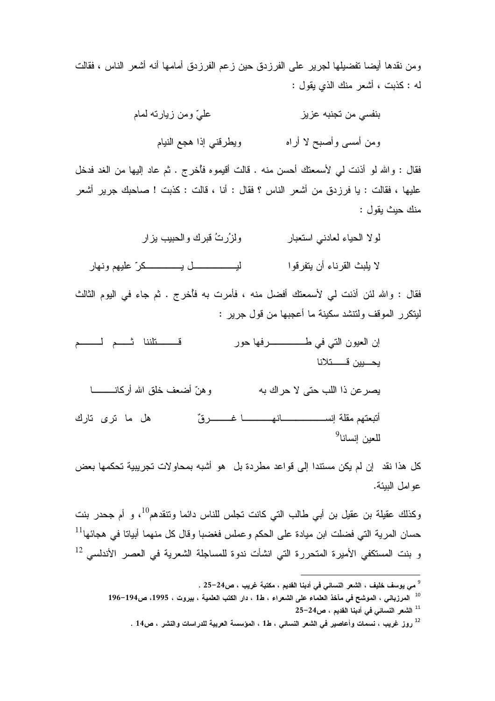ومن نقدها أيضا تفضيلها لجرير على الفرزدق حين زعم الفرزدق أمامها أنه أشعر الناس ، فقالت له : كذبت ، أشعر منك الذي يقول :

> عليّ ومن زيارته لمام بنفسي من تجنبه عز يز ويطرقني إذا هجع النيام و من أمسے و أصبح لا أر اه

فقال : والله لو أذنت لي لأسمعتك أحسن منه . قالت أقيموه فأخرج . ثم عاد إليها من الغد فدخل عليها ، فقالت : يا فرزدق من أشعر الناس ؟ فقال : أنا ، قالت : كذبت ! صاحبك جرير أشعر منك حيث يقول :

> لولا الحياء لعادني استعبار و لز ُر تُ قبر ك و الحبيب بز ار

لا يلبث القر ناء أن يتفر قو ا

فقال : والله لئن أذنت لي لأسمعتك أفضل منه ، فأمرت به فأخرج . ثم جاء في اليوم الثالث ليتكرر الموقف ولتنشد سكينة ما أعجبها من قول جرير :

قسطننا ثسم لمسم يحسيين قسستلانا و هنّ أضعف خلق الله أركانــــــــــا يصر عن ذا اللب حتى لا حر اك به أتبعتهم مقلة إنســــــــــــــانهـــــــــا غـــــــــر قٌ هل ما ترى تارك للعين إنسانا<sup>9</sup>

كل هذا نقد ۖ إن لم يكن مستندا إلى قواعد مطردة بل ۖ هو أشبه بمحاولات تجريبية تحكمها بعض عو امل البيئة.

وكذلك عقيلة بن عقيل بن أبي طالب التي كانت تجلس للناس دائما وتنقدهم<sup>10</sup>، و أم جحدر بنت حسان المرية التي فضلت ابن ميادة على الحكم وعملس فغضبا وقال كل منهما أبياتا في هجائها $^{11}$ و بنت المستكفي الأميرة المتحررة التي انشأت ندوة للمساجلة الشعرية فى العصر الأندلسى <sup>12</sup>

<sup>&</sup>lt;sup>9</sup> مى يوسف خليف ، الشعر النسائ*ي* فى أدبنا القديم ، مكتبة غريب ، ص24–25 .

<sup>&</sup>lt;sup>10</sup> المرزباني ، الموشح في مآخذ العلماء على الشعراء ، ط1 ، دار الكتب العلمية ، بيروت ، 1995، ص194–196  $25-24$ الشعر النسائى في أدبنا القديم ، ص $-24$ 

<sup>&</sup>lt;sup>12</sup> روز غريب ، نسمات وأعاصير فى الشعر النسائى ، ط1 ، المؤسسة العربية للدراسات والنشر ، ص14 .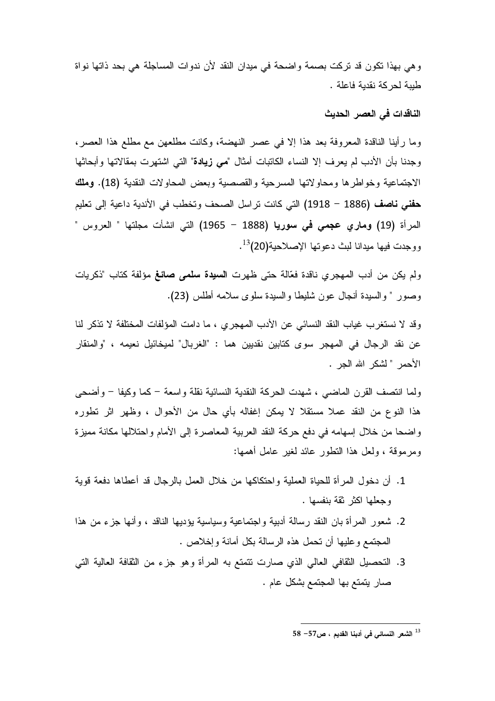وهي بهذا نكون قد نركت بصمة واضحة في ميدان النقد لأن ندوات المساجلة هي بحد ذاتها نواة طيبة لحركة نقدية فاعلة .

## الناقدات في العصر الحديث

وما رأينا الناقدة المعروفة بعد هذا إلا في عصر النهضة، وكانت مطلعهن مع مطلع هذا العصر، وجدنا بأن الأدب لم يعرف إلا النساء الكاتبات أمثال "مي زيادة" التي اشتهرت بمقالاتها وأبحاثها الاجتماعية وخواطرها ومحاولاتها المسرحية والقصصية وبعض المحاولات النقدية (18). وملك حفني ناصف (1886 – 1918) التي كانت تراسل الصحف وتخطب في الأندية داعية إلى تعليم المرأة (19) ومارى عجمى في سوريا (1888 – 1965) التي انشأت مجلتها " العروس " ووجدت فيها ميدانا لبث دعوتها الإصلاحية(20)<sup>13</sup>.

ولم يكن من أدب المهجري ناقدة فعّالة حتى ظهرت ا**لسيدة سلمي صائغ** مؤلفة كتاب "ذكريات وصور " والسيدة أنجال عون شليطا والسيدة سلوى سلامه أطلس (23).

وقد لا نستغرب غياب النقد النسائي عن الأدب المهجري ، ما دامت المؤلفات المختلفة لا تذكر لنا عن نقد الرجال في المهجر سوى كتابين نقديين هما : "الغربال" لميخائيل نعيمه ، "والمنقار الأحمر " لشكر الله الجر .

ولما انتصف القرن الماضبي ، شهدت الحركة النقدية النسائية نقلة واسعة – كما وكيفا – وأضحى هذا النوع من النقد عملا مستقلا لا يمكن إغفاله بأي حال من الأحوال ، وظهر اثر تطوره و اضحا من خلال اِسهامه في دفع حركة النقد العربية المعاصرة إلى الأمام و احتلالها مكانة مميزة ومرموقة ، ولعل هذا التطور عائد لغير عامل أهمها:

- 1. أن دخول المر أة للحياة العملية واحتكاكها من خلال العمل بالرجال قد أعطاها دفعة قوية وجعلها اكثر ثقة بنفسها .
- 2. شعور المرأة بان النقد رسالة أدبية واجتماعية وسياسية يؤديها الناقد ، وأنها جزء من هذا المجتمع وعليها أن تحمل هذه الرسالة بكل أمانة وإخلاص .
- 3. التحصيل الثقافي العالمي الذي صارت نتمتع به المرأة وهو جزء من الثقافة العالية التي صار يتمتع بها المجتمع بشكل عام .

 $58$  الشعر النسائي في أدبنا القديم ، ص $\sim$ 57  $^{13}$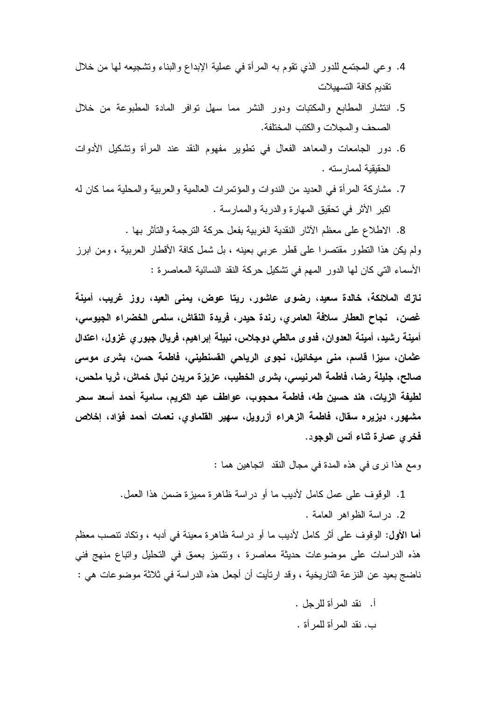- 4. وعي المجتمع للدور الذي نقوم به المرأة في عملية الإبداع والبناء وتشجيعه لمها من خلال تقديم كافة التسهيلات
- 5. انتشار المطابع والمكتبات ودور النشر مما سهل توافر المادة المطبوعة من خلال الصحف والمجلات والكتب المختلفة.
- 6. دور الجامعات والمعاهد الفعال في نطوير مفهوم النقد عند المرأة ونشكيل الأدوات الحقيقية لممار سته .
- 7. مشاركة المرأة في العديد من الندوات والمؤتمرات العالمية والعربية والمحلية مما كان له اكبر الأثر في تحقيق المهارة والدربة والممارسة .

8. الاطلاع على معظم الأثار النقدية الغربية بفعل حركة الترجمة والتأثر بها . ولم يكن هذا النطور مقتصرا على قطر عربي بعينه ، بل شمل كافة الأقطار العربية ، ومن ابرز الأسماء التي كان لها الدور المهم في تشكيل حركة النقد النسائية المعاصرة :

نازك الملائكة، خالدة سعيد، رضوى عاشور، ريتا عوض، يمنى العيد، روز غريب، أمينة غصن، نجاح العطار سلافة العامري، رندة حيدر، فريدة النقاش، سلمي الخضراء الجيوسي، أمينـة رشيد، أمينـة الـعدوان، فدوى مـالطـى دوجلاس، نبيلـة إبراهيم، فريـال جبور ي غزول، اعتدال عثمان، سيزا قاسم، منى ميخائيل، نجوى الرياحى القسنطيني، فاطمة حسن، بشرى موسى صالح، جليلة رضا، فاطمة المرنيسي، بشرى الخطيب، عزيزة مريدن نبال خماش، ثريا ملحس، لطيفة الزيات، هند حسين طه، فاطمة محجوب، عواطف عبد الكريم، سامية أحمد أسعد سحر مشهور، ديزيره سقال، فاطمة الزهراء أزرويل، سهير القلماوي، نعمات أحمد فؤاد، إخلاص فخرى عمارة ثناء أنس الوجود.

ومع هذا نرى في هذه المدة في مجال النقد انجاهين هما :

1. الوقوف على عمل كامل لأديب ما أو در اسة ظاهرة مميزة ضمن هذا العمل.

2. در اسة الظواهر العامة .

أما الأول: الوقوف على أثر كامل لأديب ما أو دراسة ظاهرة معينة في أدبه ، وتكاد تنصب معظم هذه الدراسات على موضوعات حديثة معاصرة ، ونتميز بعمق في التحليل واتباع منهج فني ناضج بعيد عن النزعة التاريخية ، وقد ارتأيت أن أجعل هذه الدراسة في ثلاثة موضوعات هي :

> أ. نقد المر أة للر جل . ب. نقد المر أة للمر أة .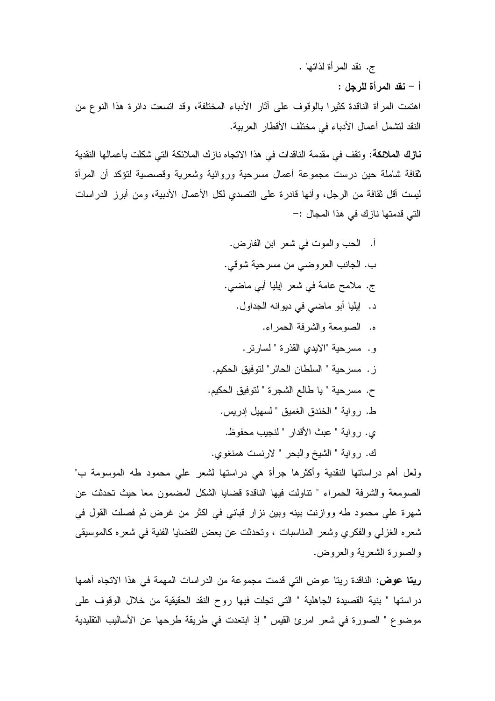ج. نقد المرأة لذاتها .

أ – نقد المرأة للرجل :

اهتمت المرأة الناقدة كثيرًا بالوقوف على أثار الأدباء المختلفة، وقد اتسعت دائرة هذا النوع من النقد لتشمل أعمال الأدباء في مختلف الأقطار العربية.

نازك الملائكة: وتقف في مقدمة الناقدات في هذا الاتجاه نازك الملائكة التي شكلت بأعمالها النقدية ثقافة شاملة حين درست مجموعة أعمال مسرحية وروائية وشعرية وقصصية لتؤكد أن المرأة ليست أقل ثقافة من الرجل، وأنها قادرة على التصدى لكل الأعمال الأدبية، ومن أبرز الدراسات التي قدمتها نازك في هذا المجال :–

> أ. الحب والموت في شعر ابن الفارض. ب. الجانب العروضي من مسرحية شوقي. ج. ملامح عامة في شعر إيليا أبي ماضي. د. إيليا أبو ماضي في ديوانه الجداول. ه. الصومعة والشرفة الحمراء. و. مسرحية "الايدي القذرة " لسارتر. ز . مسرحية " السلطان الحائر " لتوفيق الحكيم. ح. مسرحية " يا طالع الشجرة " لتوفيق الحكيم. ط. رواية " الخندق الغميق " لسهيل إدريس. ي. رواية " عبث الأقدار " لنجيب محفوظ.

ك. رواية " الشيخ والبحر " لارنست همنغوي.

ولعل أهم دراساتها النقدية وأكثرها جرأة هي دراستها لشعر على محمود طه الموسومة ب" الصومعة والشرفة الحمراء " نتاولت فيها الناقدة قضايا الشكل المضمون معا حيث تحدثت عن شهرة على محمود طه ووازنت بينه وبين نزار قباني في اكثر من غرض ثم فصلت القول في شعره الغزلمي والفكري وشعر المناسبات ، وتحدثت عن بعض القضايا الفنية في شعره كالموسيقى والصورة الشعرية والعروض.

**ريتا عوض:** الناقدة ريتا عوض التي قدمت مجموعة من الدر اسات المهمة في هذا الاتجاه أهمها دراستها " بنية القصيدة الجاهلية " التي تجلت فيها روح النقد الحقيقية من خلال الوقوف على موضوع " الصورة في شعر امرئ القيس " إذ ابتعدت في طريقة طرحها عن الأساليب التقليدية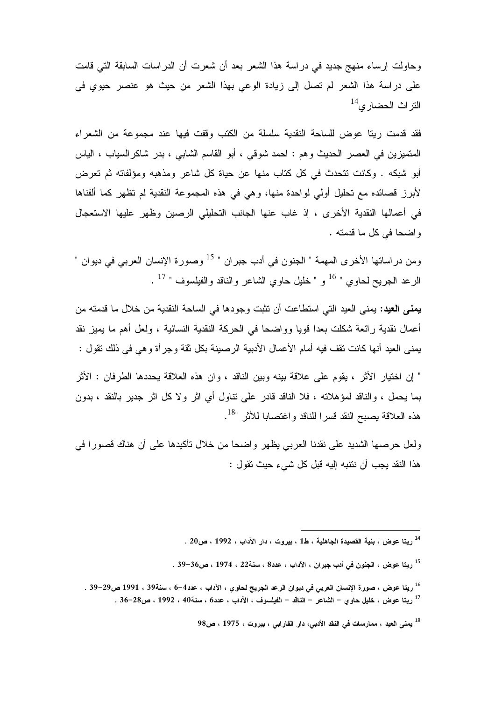وحاولت إرساء منهج جديد في در اسة هذا الشعر بعد أن شعرت أن الدراسات السابقة التي قامت على دراسة هذا الشعر لم تصل إلى زيادة الوعي بهذا الشعر من حيث هو عنصر حيوي في  $^{14}$ التر اث الحضار ي

فقد قدمت ريتا عوض للساحة النقدية سلسلة من الكتب وقفت فيها عند مجموعة من الشعراء المتميزين في العصر الحديث وهم : احمد شوقي ، أبو القاسم الشابي ، بدر شاكرالسياب ، الياس أبو شبكه . وكانت تتحدث في كل كتاب منها عن حياة كل شاعر ومذهبه ومؤلفاته ثم تعرض لأبرز قصائده مع تحليل أولي لواحدة منها، وهي في هذه المجموعة النقدية لم تظهر كما ألفناها في أعمالها النقدية الأخرى ، إذ غاب عنها الجانب التحليلي الرصين وظهر عليها الاستعجال و اضحا في كل ما قدمته .

ومن در اساتها الأخر ى المهمة " الجنون في أدب جبر ان " <sup>15</sup> وصورة الإنسان العربي في ديو ان " الرعد الجريح لحاوي " <sup>16</sup> و " خليل حاوي الشاعر والناقد والفيلسوف " <sup>17</sup> .

**يمنـي الـعيد**: يمنـي الـعيد التـي استطـاعت أن تثبت وجودها فـي الساحة النقدية من خلال مـا قدمته من أعمال نقدية رائعة شكلت بعدا قويا وواضـحا فـي الـحركـة النقدية النسائية ، ولعل أهم ما يميز نقد يمنـي العيد أنـها كانت تقف فيه أمام الأعمال الأدبية الرصينـة بكل ثقة وجرأة وهي في ذلك تقول :

" إن اختيار الأثر ، يقوم على علاقة بينه وبين الناقد ، وان هذه العلاقة يحددها الطرفان : الأثر بما يحمل ، والناقد لمؤهلاته ، فلا الناقد قادر على تناول أي اثر ولا كل اثر جدير بالنقد ، بدون هذه العلاقة بصبح النقد قسرا للناقد واغتصابا للأثر "<sup>18</sup>.

ولعل حرصها الشديد على نقدنا العربي يظهر واضحا من خلال نأكيدها على أن هناك قصورا في هذا النقد يجب أن ننتبه إليه قبل كل شيء حيث نقول :

 $^{98}$ يمني العيد ، ممارسات في النقد الأدبي، دار الفارابي ، بيروت ، 1975 ، ص $^{18}$ 

 $\overline{a}$ . [14 ل 1992 ، من القصيدة الجاهلية ، ط1 $\,$  ، بيروت ، دار الآداب ، 1992 ، ص $\,$ 20 .  $^{\,14}$ 

<sup>. 21</sup> ريتا عوض ، الجنون في أدب جبران ، الآداب ، عدد8 ، سنة22 ، 1974 ، ص36–39 .

<sup>. 39–29</sup> من ، صورة الإنسان العربي في ديوان الرعد الجريح لحاوي ، الآداب ، عدد4–6 ، سنة39 ، 1991 ص29–39 . . 28-36-36 ريتا عوض ، خليل حاوي – الشاعر – الناقد – الفيلسوف ، الآداب ، عدد6 ، سنة40 ، 1992 ، ص28-36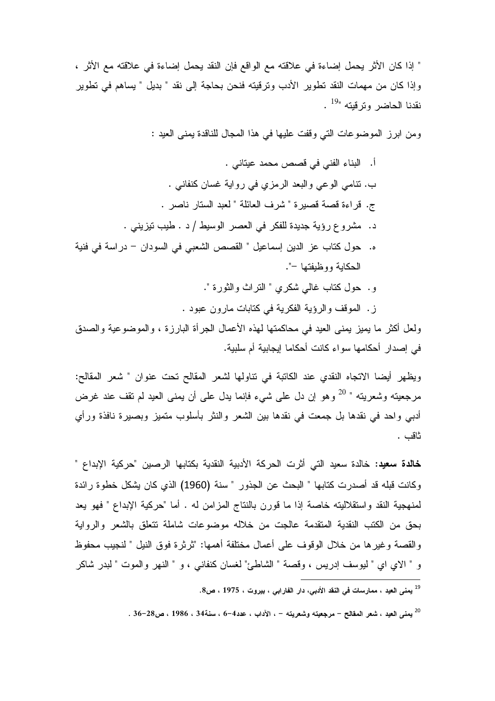" إذا كان الأثر يحمل إضاءة في علاقته مع الواقع فإن النقد يحمل إضاءة في علاقته مع الأثر ، وإذا كان من مهمات النقد تطوير الأدب وترقيته فنحن بحاجة إلى نقد " بديل " يساهم في تطوير نقدنا الحاضر وترقيته "<sup>19</sup> .

ومن ابرز الموضوعات التي وقفت عليها في هذا المجال للناقدة يمني العيد :

ز . الموقف والرؤية الفكرية في كتابات مارون عبود .

ولعل أكثر ما يميز يمني العيد في محاكمتها لهذه الأعمال الجرأة البارزة ، والموضوعية والصدق في إصدار أحكامها سواء كانت أحكاما إيجابية أم سلبية.

ويظهر أيضا الاتجاه النقدي عند الكاتبة في نتاولها لشعر المقالح تحت عنوان " شعر المقالح: مرجعيته وشعريته " <sup>20</sup> وهو إن دل على شيء فإنما يدل على أن يمنى العيد لم تقف عند غرض أدبي واحد في نقدها بل جمعت في نقدها بين الشعر والنثر بأسلوب متميز وبصيرة نافذة ورأي ثاقب .

خالدة سعيد: خالدة سعيد التي أثرت الحركة الأدبية النقدية بكتابها الرصين "حركية الإبداع " وكانت قبله قد أصدرت كتابها " البحث عن الجذور " سنة (1960) الذي كان يشكل خطوة رائدة لمنهجية النقد واستقلاليته خاصة إذا ما قورن بالنتاج المزامن له . أما "حركية الإبداع " فهو يعد بحق من الكتب النقدية المنقدمة عالجت من خلاله موضوعات شاملة تتعلق بالشعر والرواية والقصبة وغيرها من خلال الوقوف على أعمال مختلفة أهمها: "ثرثرة فوق النيل " لنجيب محفوظ و " الاي اي " ليوسف إدريس ، وقصة " الشاطئ" لغسان كنفاني ، و " النهر والموت " لبدر شاكر

<sup>&</sup>lt;sup>19</sup> يمني العيد ، ممارسات في النقد الأدبي، دار الفارابي ، بيروت ، 1975 ، ص8.

 $^{20}$ يمني العيد ، شعر المقالح – مرجعيته وشعريته – ، الآداب ، عدد4–6 ، سنة34 ، 1986 ، ص28–36 .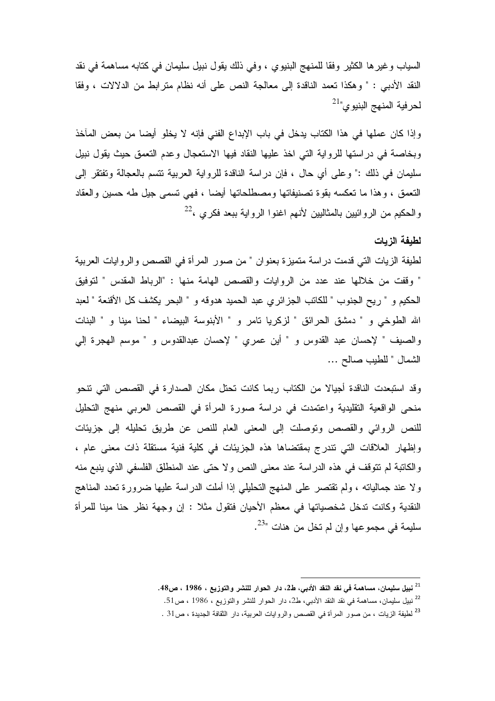السياب وغيرها الكثير وفقا للمنهج البنيوي ، وفي ذلك يقول نبيل سليمان في كتابه مساهمة في نقد النقد الأدبـي : " وهكذا تعمد الناقدة إلى معالجة النص على أنه نظام متر ابط من الدلالات ، وفقا لحرفية المنهج البنيوي"<sup>21</sup>

وإذا كان عملها في هذا الكتاب يدخل في باب الإبداع الفني فإنه لا يخلو أيضا من بعض المآخذ وبخاصة في دراستها للرواية التي اخذ عليها النقاد فيها الاستعجال وعدم التعمق حيث يقول نبيل سليمان في ذلك :" وعلى أي حال ، فإن دراسة الناقدة للرواية العربية نتسم بالعجالة وتفتقر إلى النعمق ، وهذا ما نعكسه بقوة نصنيفاتها ومصطلحاتها أيضا ، فهي نسمى جيل طه حسين والعقاد والحكيم من الروائبين بالمثالبين لأنهم اغنوا الرواية ببعد فكري ،<sup>22</sup>

## لطبفة الزبات

لطيفة الزيات التي قدمت دراسة متميزة بعنوان " من صور المرأة في القصص والروايات العربية " وقفت من خلالها عند عدد من الروايات والقصص المهامة منها : "الرباط المقدس " لتوفيق الحكيم و " ريح الجنوب " للكاتب الجزائري عبد الحميد هدوقه و " البحر يكشف كل الأقنعة " لعبد الله الطوخي و " دمشق الحرائق " لزكريا نامر و " الأبنوسة البيضاء " لحنا مينا و " البنات والصيف " لإحسان عبد القدوس و " أين عمري " لإحسان عبدالقدوس و " موسم الهجرة إلى الشمال " للطيب صالح ...

وقد استبعدت الناقدة أجيالا من الكتاب ربما كانت تحتل مكان الصدارة في القصص التي تتحو منحي الواقعية التقليدية واعتمدت في دراسة صورة المرأة في القصص العربي منهج التحليل للنص الروائي والقصص وتوصلت إلى المعنى العام للنص عن طريق تحليله إلى جزيئات وإظهار العلاقات التي تندرج بمقتضاها هذه الجزيئات في كلية فنية مستقلة ذات معنى عام ، والكاتبة لم تتوقف في هذه الدراسة عند معنى النص ولا حتى عند المنطلق الفلسفي الذي ينبع منه ولا عند جمالياته ، ولم تقتصر على المنهج التحليلي إذا أملت الدراسة عليها ضرورة تعدد المناهج النقدية وكانت تدخل شخصياتها في معظم الأحيان فتقول مثلا : إن وجهة نظر حنا مينا للمرأة سليمة في مجموعها وإن لم تخل من هنات "<sup>23</sup>.

<sup>&</sup>lt;sup>21</sup> نبيل سليمان، مساهمة فى نقد النقد الأدبى، ط2، دار الحوار للنشر والتوزيع ، 1986 ، ص48.

<sup>&</sup>lt;sup>22</sup> نبيل سليمان، مساهمة في نقد النقد الأدبى، ط2، دار الحوار للنشر والتوزيع ، 1986 ، ص51.

<sup>&</sup>lt;sup>23</sup> لطيفة الزيات ، من صور المرأة في القصص والروايات العربية، دار الثقافة الجديدة ، ص31 .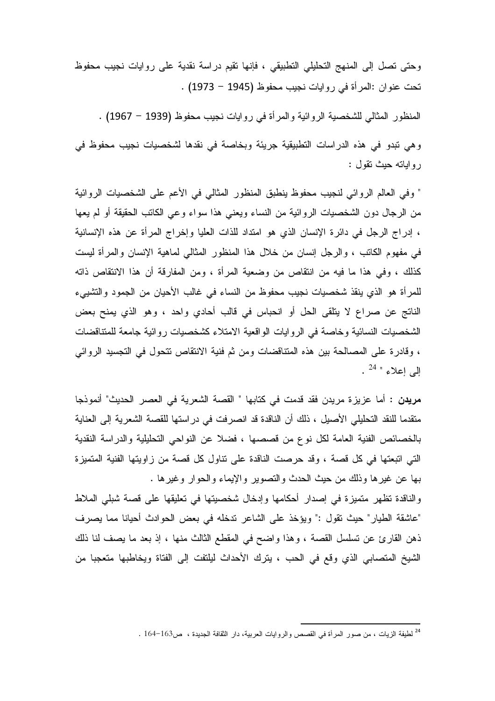وحتى تصل إلى المنهج التحليلي التطبيقي ، فإنها نقيم دراسة نقدية على روايات نجيب محفوظ نحت عنوان :المرأة في روايات نجيب محفوظ (1945 – 1973) .

المنظور المثالي للشخصية الروائية والمرأة في روايات نجيب محفوظ (1939 – 1967) .

وهي تبدو في هذه الدراسات التطبيقية جريئة وبخاصة في نقدها لشخصيات نجيب محفوظ في رواياته حيث تقول :

" وفي العالم الروائي لنجيب محفوظ ينطبق المنظور المثالي في الأعم على الشخصيات الروائية من الرجال دون الشخصيات الروائية من النساء ويعني هذا سواء وعبي الكانب الحقيقة أو لم يعها ، إدراج الرجل في دائرة الإنسان الذي هو امتداد للذات العليا وإخراج المرأة عن هذه الإنسانية في مفهوم الكاتب ، والرجل إنسان من خلال هذا المنظور المثالي لماهية الإنسان والمرأة ليست كذلك ، وفي هذا ما فيه من انتقاص من وضعية المرأة ، ومن المفارقة أن هذا الانتقاص ذاته للمر أة هو الذي ينقذ شخصيات نجيب محفوظ من النساء في غالب الأحيان من الجمود والتشييء الناتج عن صراع لا يتلقى الحل أو انحباس في قالب أحادي واحد ، وهو الذي يمنح بعض الشخصيات النسائية وخاصة في الروايات الواقعية الامتلاء كشخصيات روائية جامعة للمتناقضات ، وقادر ة على المصالحة بين هذه المتناقضات ومن ثم فنية الانتقاص تتحول في التجسيد الروائي  $^{24}$  " المراعا".

**مريدن :** أما عزيزة مريدن فقد قدمت في كتابها " القصـة الشعرية في العصـر الـحديث" أنموذجا متقدما للنقد التحليلي الأصبل ، ذلك أن الناقدة قد انصرفت في در استها للقصبة الشعرية إلى العناية بالخصائص الفنية العامة لكل نوع من قصصها ، فضلا عن النواحي التحليلية والدراسة النقدية التي اتبعتها في كل قصة ، وقد حرصت الناقدة على نتاول كل قصة من زاويتها الفنية المتميزة بها عن غيرها وذلك من حيث الحدث والتصوير والإيماء والحوار وغيرها .

والناقدة تظهر متميزة في إصدار أحكامها وإدخال شخصيتها في تعليقها على قصة شبلي الملاط "عاشقة الطيار" حيث تقول :" ويؤخذ على الشاعر تدخله في بعض الحوادث أحيانا مما يصرف ذهن القارئ عن نسلسل القصة ، وهذا واضح في المقطع الثالث منها ، إذ بعد ما يصف لنا ذلك الشيخ المتصابي الذي وقع في الحب ، يترك الأحداث ليلتفت إلى الفتاة ويخاطبها متعجبا من

<sup>&</sup>lt;sup>24</sup> لطيفة الزيات ، من صور المرأة في القصص والروايات العربية، دار الثقافة الجديدة ، ص163–164 .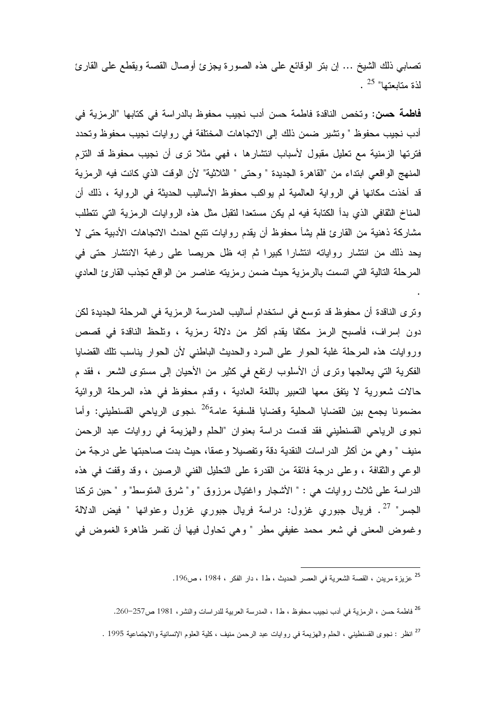تصابـي ذلك الشيخ … إن بتر الوقائـع علـي هذه الصـورة يـجزئ أوصـال القصـة ويقطـع علـي القارئ  $\cdot$   $^{25}$  "البعتها"

**فاطمة حسن:** وتخص الناقدة فاطمة حسن أدب نجيب محفوظ بالدراسة في كتابها "الرمزية في أدب نجيب محفوظ " وتشير ضمن ذلك إلى الاتجاهات المختلفة في روايات نجيب محفوظ وتحدد فترتها الزمنية مع تعليل مقبول لأسباب انتشارها ، فهي مثلا ترى أن نجيب محفوظ قد التزم المنهج الواقعي ابتداء من "القاهرة الجديدة " وحتى " الثلاثية" لأن الوقت الذي كانت فيه الرمزية قد أخذت مكانها في الرواية العالمية لم يواكب محفوظ الأساليب الحديثة في الرواية ، ذلك أن المناخ الثقافي الذي بدأ الكتابة فيه لم يكن مستعدا لتقبل مثل هذه الروايات الرمزية التي تتطلب مشاركة ذهنية من القارئ فلم يشأ محفوظ أن يقدم روايات تتبع احدث الاتجاهات الأدبية حتى لا يحد ذلك من انتشار رواياته انتشارا كبيرا ثم إنه ظل حريصا على رغبة الانتشار حتى في المرحلة التالية التي اتسمت بالرمزية حيث ضمن رمزيته عناصر من الواقع تجذب القارئ العادي

وترى الناقدة أن محفوظ قد توسع في استخدام أساليب المدرسة الرمزية في المرحلة الجديدة لكن دون إسراف، فأصبح الرمز مكثفا يقدم أكثر من دلالة رمزية ، وتلحظ الناقدة في قصص وروايات هذه المرحلة غلبة الحوار على السرد والحديث الباطني لأن الحوار بناسب تلك القضايا الفكرية التي يعالجها وترى أن الأسلوب ارتفع في كثير من الأحيان إلى مستوى الشعر ، فقد م حالات شعورية لا يتفق معها التعبير باللغة العادية ، وقدم محفوظ في هذه المرحلة الروائية مضمونا يجمع بين القضايا المحلية وقضايا فلسفية عامة<sup>26</sup> .نجوى الرياحي القسنطيني: وأما نجوى الرياحي القسنطيني فقد قدمت دراسة بعنوان "الحلم والهزيمة في روايات عبد الرحمن منيف " و هي من أكثر الدراسات النقدية دقة وتفصيلا وعمقا، حيث بدت صاحبتها على درجة من الوعي والثقافة ، وعلى درجة فائقة من القدرة على التحليل الفني الرصين ، وقد وقفت في هذه الدراسة على ثلاث روايات هي : " الأشجار واغتيال مرزوق " و" شرق المتوسط" و " حين نركنا الجسر" <sup>27</sup>. فريال جبوري غزول: دراسة فريال جبوري غزول وعنوانها " فيض الدلالة وغموض المعنى في شعر محمد عفيفي مطر " وهي تحاول فيها أن تفسر ظاهرة الغموض في

<sup>25</sup> عزيزة مريدن ، القصة الشعرية في العصر الحديث ، ط1 ، دار الفكر ، 1984 ، ص196.

<sup>26</sup> فاطمة حسن ، الرمزية في أدب نجيب محفوظ ، ط1 ، المدرسة العربية للدراسات والنشر، 1981 ص257–260. <sup>27</sup> انظر : نجوى القسنطيني ، الحلم والهزيمة في روايات عبد الرحمن منيف ، كلية العلوم الإنسانية والاجتماعية 1995 .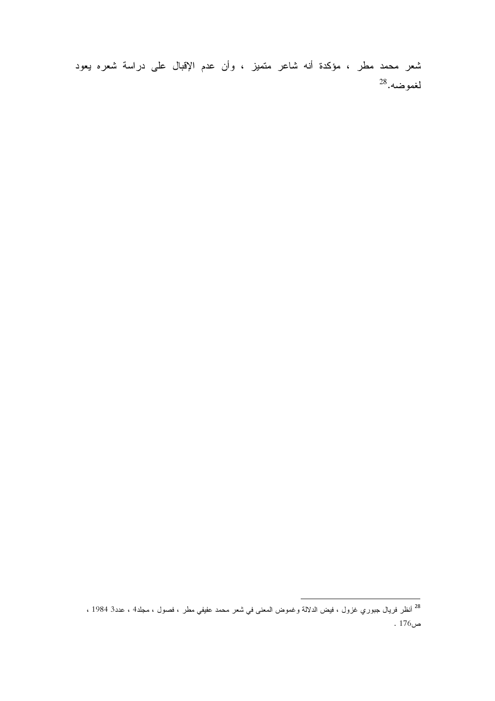شعر محمد مطر ، مؤكدة أنه شاعر متميز ، وأن عدم الإقبال على دراسة شعره يعود  $^{28}$ لغموضه.

<sup>&</sup>lt;sup>28</sup> أنظر فريال جبوري غزول ، فيض الدلالة وغموض المعنى في شعر محمد عفيفي مطر ، فصول ، مجلد4 ، عدد3 1984 ، ص176 .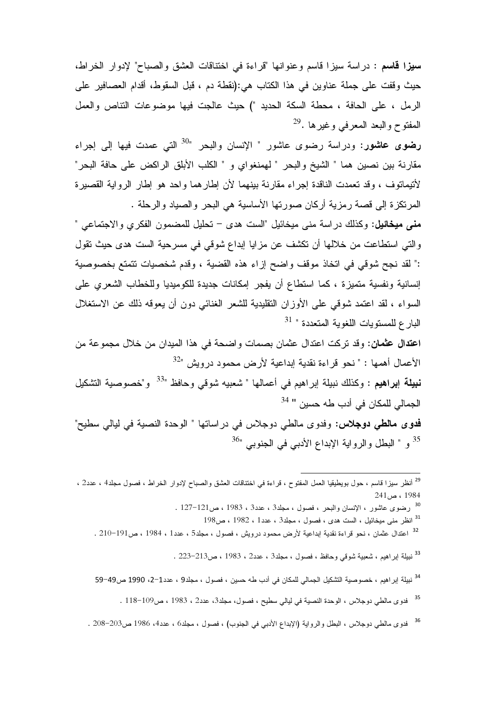سيز! قاسم : دراسة سيز! قاسم وعنوانها "قراءة في اختناقات العشق والصباح" لإدوار الخراط، حيث وقفت على جملة عناوين في هذا الكتاب هي:(نقطة دم ، قبل السقوط، أقدام العصافير على الرمل ، على الحافة ، محطة السكة الحديد ") حيث عالجت فيها موضوعات التناص والعمل المفتوح والبعد المعرفي وغيرها .<sup>29</sup>

**رضوى عاشور**: ودراسة رضوى عاشور " الإنسان والبحر "<sup>30</sup> الت<sub>ى</sub> عمدت فيها إلى إجراء مقارنة بين نصين هما " الشيخ والبحر " لهمنغواي و " الكلب الأبلق الراكض على حافة البحر" لأنيمانوف ، وقد نعمدت الناقدة إجراء مقارنة بينهما لأن إطارهما واحد هو إطار الرواية القصيرة المرتكزة إلى قصة رمزية أركان صورتها الأساسية هي البحر والصياد والرحلة .

مني ميخائيل: وكذلك دراسة مني ميخائيل "الست هدي – تحليل للمضمون الفكري والاجتماعي " والتي استطاعت من خلالها أن تكشف عن مزايا إبداع شوقي في مسرحية الست هدى حيث تقول :" لقد نجح شوقي في اتخاذ موقف واضح إزاء هذه القضية ، وقدم شخصيات تتمتع بخصوصية إنسانية ونفسية متميزة ، كما استطاع أن يفجر إمكانات جديدة للكوميديا وللخطاب الشعري على السواء ، لقد اعتمد شوقي على الأوزان التقليدية للشعر الغنائي دون أن يعوقه ذلك عن الاستغلال البارع للمستويات اللغوية المتعددة " <sup>31</sup>

اعتدال عثمان: وقد نركت اعتدال عثمان بصمات واضحة في هذا الميدان من خلال مجموعة من الأعمال أهمها : " نحو قراءة نقدية إبداعية لأرض محمود درويش "<sup>32</sup>

نبيلة إبراهيم : وكذلك نبيلة إبراهيم في أعمالها " شعبيه شوقي وحافظ "<sup>33</sup> و"خصوصية التشكيل الجمالي للمكان في أدب طه حسين " <sup>34</sup>

فدوى مالطي دوجلاس: وفدوى مالطي دوجلاس في در اساتها " الوحدة النصية في ليالي سطيح" <sup>35</sup> و " البطل والرواية الإبداع الأدبي في الجنوبي "<sup>36</sup>

- <sup>30</sup> رضوى عاشور ، الإنسان والبحر ، فصول ، مجلد3 ، عدد3 ، 1983 ، ص121–127 .
	- $198$ انظر منبي ميخائيل ، الست هدى ، فصول ، مجلد3 ، عدد1 ، 1982 ، ص198
- <sup>32</sup> اعتدال عثمان ، نحو قراءة نقدية ابداعية لأرض محمود درويش ، فصول ، مجلد5 ، عدد1 ، 1984 ، ص191−210 .

<sup>33</sup> نبيلة إبراهيم ، شعبية شوقى وحافظ ، فصول ، مجلد3 ، عدد2 ، 1983 ، ص213–223 .

- <sup>34</sup> نبيلة إبراهيم ، خصوصية التشكيل الجمالي للمكان في أدب طه حسين ، فصول ، مجلد9 ، عدد1−2، 1990 ص49−59
	- <sup>35</sup> فدوى مالطى دوجلاس ، الوحدة النصية فى ليالى سطيح ، فصول، مجلد3، عدد2 ، 1983 ، ص109–118 .
- <sup>36</sup> فدوى مالطى دوجلاس ، البطل والرواية (الإبداع الأدبي في الجنوب) ، فصول ، مجلد6 ، عدد4، 1986 ص203–208 .

<sup>&</sup>lt;sup>29</sup> أنظر سيزا قاسم ، حول بويطيقيا العمل المفتوح ، قراءة في اختناقات العشق والصباح لإدوار الخراط ، فصول مجلد4 ، عدد2 ،  $241_{u}$  ، 1984 ، ص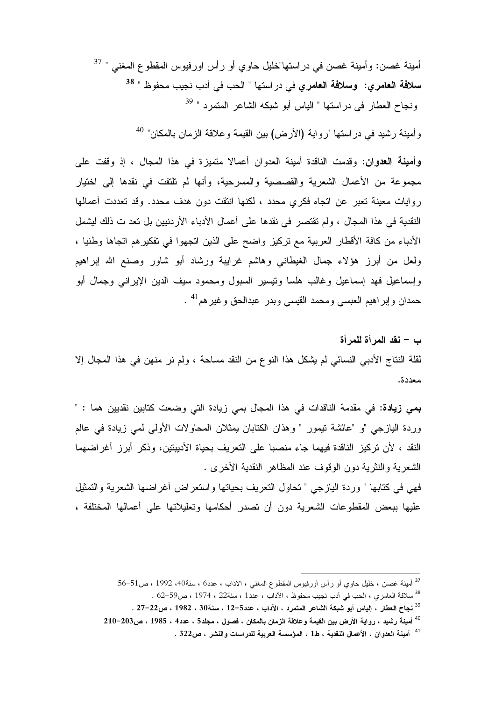أمينة غصن: وأمينة غصن في دراستها"خليل حاوي أو رأس اورفيوس المقطوع المغنى " <sup>37</sup> سلا<mark>فة العامري: وسلافة العامري</mark> في در استها " الحب في أدب نجيب محفوظ " <sup>38</sup> ونجاح العطار في دراستها " الياس أبو شبكه الشاعر المتمرد " <sup>39</sup>

وأمينة رشيد في دراستها "رواية (الأرض) بين القيمة وعلاقة الزمان بالمكان" <sup>40</sup>

وأمينة العدوان: وقدمت الناقدة أمينة العدوان أعمالا متميزة في هذا المجال ، إذ وقفت على مجموعة من الأعمال الشعرية والقصصية والمسرحية، وأنها لم تلتفت في نقدها إلى اختيار روايات معينة تعبر عن اتجاه فكرى محدد ، لكنها انتقت دون هدف محدد. وقد تعددت أعمالها النقدية في هذا المجال ، ولم تقتصر في نقدها على أعمال الأدباء الأردنيين بل تعد ت ذلك ليشمل الأدباء من كافة الأقطار العربية مع تركيز واضح على الذين اتجهوا في تفكير هم اتجاها وطنيا ، ولعل من أبرز هؤلاء جمال الغيطاني وهاشم غرايبة ورشاد أبو شاور وصنع الله إبراهيم وإسماعيل فهد إسماعيل وغالب هلسا وننيسير السبول ومحمود سيف الدين الإيراني وجمال أبو حمدان وإبراهيم العبسى ومحمد القيسى وبدر عبدالحق وغيرهم<sup>41</sup> .

ب – نقد المرأة للمرأة لقلة النتاج الأدبي النسائي لم يشكل هذا النوع من النقد مساحة ، ولم نر منهن في هذا المجال إلا معددة.

**بِمِي زِيادة:** في مقدمة الناقدات في هذا المجال بمي زيادة التي وضعت كتابين نقديين هما : " وردة اليازجي "و "عائشة تيمور " وهذان الكتابان يمثلان المحاولات الأولى لمي زيادة في عالم النقد ، لأن تركيز الناقدة فيهما جاء منصبا على التعريف بحياة الأديبتين، وذكر أبرز أغراضهما الشعرية والنثرية دون الوقوف عند المظاهر النقدية الأخرى .

فهي في كتابها " وردة اليازجي " تحاول التعريف بحياتها واستعراض أغراضها الشعرية والتمثيل عليها ببعض المقطوعات الشعرية دون أن تصدر أحكامها وتعليلاتها على أعمالها المختلفة ،

<sup>&</sup>lt;sup>37</sup> أمينة غصن ، خليل حاوي أو رأس أورفيوس المقطوع المغنى ، الأداب ، عدد6 ، سنة40، 1992 ، ص51–56

<sup>&</sup>lt;sup>38</sup> سلافة العامري ، الحب في أدب نجيب محفوظ ، الآداب ، عدد1 ، سنة22 ، 1974 ، ص59−62 .

<sup>&</sup>lt;sup>39</sup> نجاح العطار ، إلياس أبو شبكة الشاعر المتمرد ، الآداب ، عدد5-12 ، سنة30 ، 1982 ، ص22–27 .

<sup>&</sup>lt;sup>40</sup> أمينة رشيد ، رواية الأرض بين القيمة وعلاقة الزمان بالمكان ، فصول ، مجلد5 ، عدد4 ، 1985 ، ص203−210

<sup>&</sup>lt;sup>41</sup> أمينة العدوان ، الأعمال النقدية ، ط1 ، المؤسسة العربية للدراسات والنشر ، ص322 .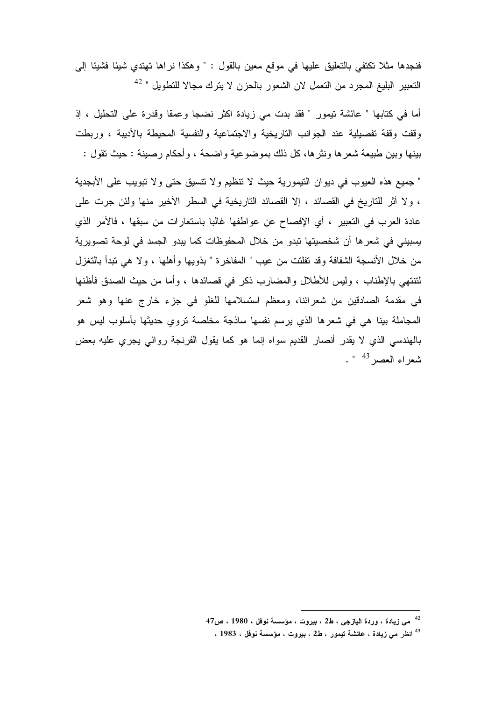فنجدها مثلا نكتفي بالتعليق عليها في موقع معين بالقول : " وهكذا نراها تهتدي شيئا فشيئا إلى النعبير البليغ المجرد من النعمل لان الشعور بالحزن لا يترك مجالا للنطويل " <sup>42</sup>

أما في كتابها " عائشة تيمور " فقد بدت مي زيادة اكثر نضجا وعمقا وقدرة على التحليل ، إذ وقفت وقفة تفصيلية عند الجوانب التاريخية والاجتماعية والنفسية المحيطة بالأديبة ، وربطت بينها وبين طبيعة شعرها ونثرها، كل ذلك بموضوعية واضحة ، وأحكام رصينة : حيث تقول :

" جميع هذه العيوب في ديوان التيمورية حيث لا تنظيم ولا تتسيق حتى ولا تبويب على الأبجدية ، ولا أثر للناريخ في القصائد ، إلا القصائد الناريخية في السطر الأخير منها ولئن جرت على عادة العرب في التعبير ، أي الإفصاح عن عواطفها غالبا باستعارات من سبقها ، فالأمر الذي يسبيني في شعر ها أن شخصيتها تبدو من خلال المحفوظات كما يبدو الجسد في لوحة تصويرية من خلال الأنسجة الشفافة وقد تفلتت من عيب " المفاخرة " بذويها وأهلها ، ولا هي تبدأ بالتغزل لتنتهي بالإطناب ، وليس للأطلال والمضارب ذكر في قصائدها ، وأما من حيث الصدق فأظنها في مقدمة الصادقين من شعرائنا، ومعظم استسلامها للغلو في جزء خارج عنها وهو شعر المجاملة بينا هي في شعرها الذي يرسم نفسها ساذجة مخلصة نروي حديثها بأسلوب ليس هو بالهندسي الذي لا يقدر أنصار القديم سواه إنما هو كما يقول الفرنجة روائي يجري عليه بعض شعر اء العصر <sup>43</sup> ".

<sup>&</sup>lt;sup>42</sup> مئ زيادة ، وردة اليازجي ، ط2 ، بيروت ، مؤسسة نوفل ، 1980 ، ص47

<sup>&</sup>lt;sup>43</sup> انظر مى زيادة ، عائشة تيمور ، ط2 ، بيروت ، مؤسسة نوفل ، 1983 ،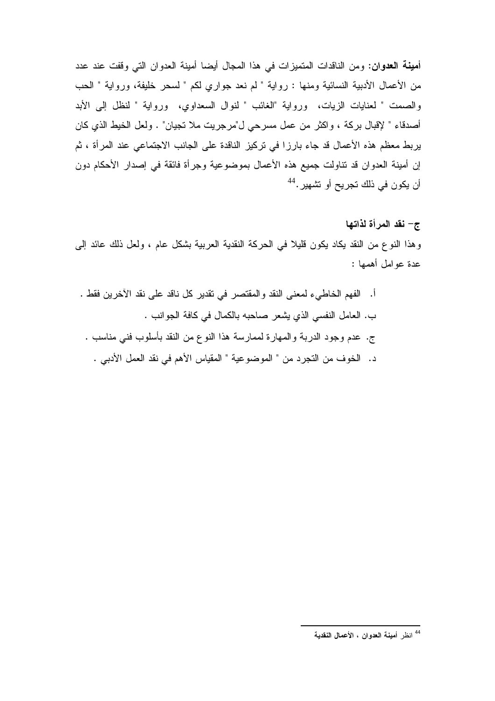أمينة العدوان: ومن الناقدات المتميزات في هذا المجال أيضا أمينة العدوان التي وقفت عند عدد من الأعمال الأدبية النسائية ومنها : رواية " لم نعد جواري لكم " لسحر خليفة، ورواية " الحب والصمت " لعنايات الزيات، ورواية "المغائب " لنوال السعداوي، ورواية " لنظل إلى الأبد أصدقاء " لإقبال بركة ، واكثر من عمل مسرحي ل"مرجريت ملا تجيان" . ولعل الخيط الذي كان يربط معظم هذه الأعمال قد جاء بارزا في تركيز الناقدة على الجانب الاجتماعي عند المرأة ، ثم إن أمينة العدوان قد نتاولت جميع هذه الأعمال بموضوعية وجرأة فائقة في إصدار الأحكام دون أن يكون في ذلك تجريح أو تشهير .<sup>44</sup>

# ج– نقد المرأة لذاتها

وهذا النوع من النقد يكاد يكون قليلًا في الحركة النقدية العربية بشكل عام ، ولعل ذلك عائد إلى عدة عو امل أهمها :

أ. الفهم الخاطيء لمعنى النقد والمقتصر في تقدير كل ناقد على نقد الأخرين فقط . ب. العامل النفسي الذي يشعر صاحبه بالكمال في كافة الجوانب . ج. عدم وجود الدربة والمهارة لممارسة هذا النوع من النقد بأسلوب فنبي مناسب . د. الخوف من النجرد من " الموضوعية " المقياس الأهم في نقد العمل الأدبي .

<sup>&</sup>lt;sup>44</sup> انظر أمينية العدوان ، الأعمال النقدية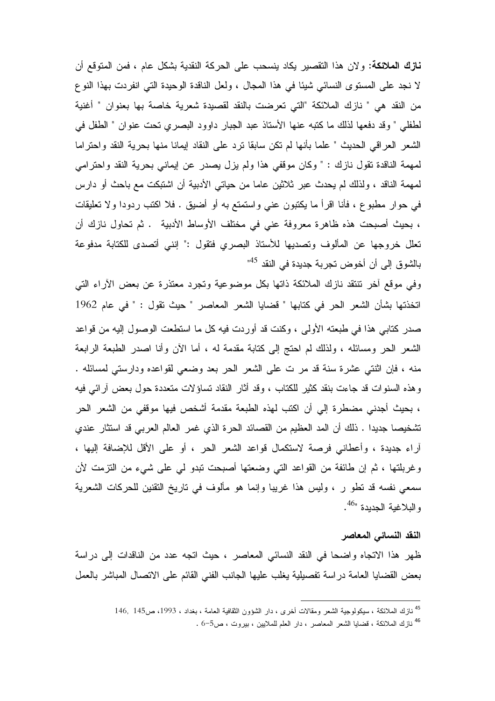**نازك الملائكة:** ولان هذا التقصير يكاد ينسحب على الحركة النقدية بشكل عام ، فمن المتوقع أن لا نجد على المستوى النسائي شيئًا في هذا المجال ، ولعل الناقدة الوحيدة التي انفردت بهذا النوع من النقد هي " نازك الملائكة "التي تعرضت بالنقد لقصيدة شعرية خاصة بها بعنوان " أغنية لطفلي " وقد دفعها لذلك ما كتبه عنها الأستاذ عبد الجبار داوود البصري تحت عنوان " الطفل في الشعر العراقي الحديث " علما بأنها لم تكن سابقا ترد على النقاد إيمانا منها بحرية النقد واحتراما لمهمة الناقدة نقول نازك : " وكان موقفي هذا ولم يزل يصدر عن إيماني بحرية النقد واحترامي لمهمة الناقد ، ولذلك لم يحدث عبر ثلاثين عاما من حياتـي الأدبية أن اشتبكت مع باحث أو دارس في حوار مطبوع ، فأنا اقرأ ما يكتبون عني واستمتع به أو أضيق . فلا اكتب ردودا ولا تعليقات ، بحيث أصبحت هذه ظاهرة معروفة عني في مختلف الأوساط الأدبية . ثم تحاول نازك أن تعلل خروجها عن المألوف وتصديها للأستاذ البصري فتقول :" إنني أتصدى للكتابة مدفوعة بالشوق إلى أن أخوض تجربة جديدة في النقد <sup>45</sup>"

وفي موقع أخر نتنقد نازك الملائكة ذاتها بكل موضوعية ونجرد معتذرة عن بعض الأراء التي اتخذتها بشأن الشعر الحر في كتابها " قضايا الشعر المعاصر " حيث تقول : " في عام 1962 صدر كتابي هذا في طبعته الأولى ، وكنت قد أوردت فيه كل ما استطعت الوصول إليه من قواعد الشعر الحر ومسائله ، ولذلك لم احتج إلى كتابة مقدمة له ، أما الأن وأنا اصدر الطبعة الرابعة منه ، فإن اثنتي عشرة سنة قد مر ت علي الشعر الحر بعد وضعي لقواعده ودارستي لمسائله . وهذه السنوات قد جاءت بنقد كثير للكتاب ، وقد أثار النقاد تساؤلات متعددة حول بعض آرائي فيه ، بحيث أجدني مضطرة إلى أن اكتب لهذه الطبعة مقدمة أشخص فيها موقفي من الشعر الحر تشخيصـا جديدا . ذلك أن المد العظيم من القصـائد الـحرة الذي غمر الـعالم الـعربـي قد استثار عندي أراء جديدة ، وأعطاني فرصة لاستكمال قواعد الشعر الحر ، أو على الأقل للإضافة إليها ، وغربلتها ، ثم إن طائفة من القواعد التي وضعتها أصبحت تبدو لي علي شيء من التزمت لأن سمعي نفسه قد تطو ر ، وليس هذا غريبا وإنما هو مألوف في تاريخ التقنين للحركات الشعرية و البلاغية الجديدة "<sup>46</sup>.

#### النقد النسائي المعاصر

ظهر هذا الاتجاه واضحا في النقد النسائي المعاصر ، حيث اتجه عدد من الناقدات إلى دراسة بعض القضايا العامة دراسة تفصيلية يغلب عليها الجانب الفنى القائم على الاتصال المباشر بالعمل

<sup>&</sup>lt;sup>45</sup> نازك الملائكة ، سيكولوجية الشعر ومقالات أخرى ، دار الشؤون الثقافية العامة ، بغداد ، 1993، ص145 , 146

<sup>&</sup>lt;sup>46</sup> نازك الملائكة ، قضايا الشعر المعاصر ، دار العلم للملايين ، بيروت ، ص5−6 .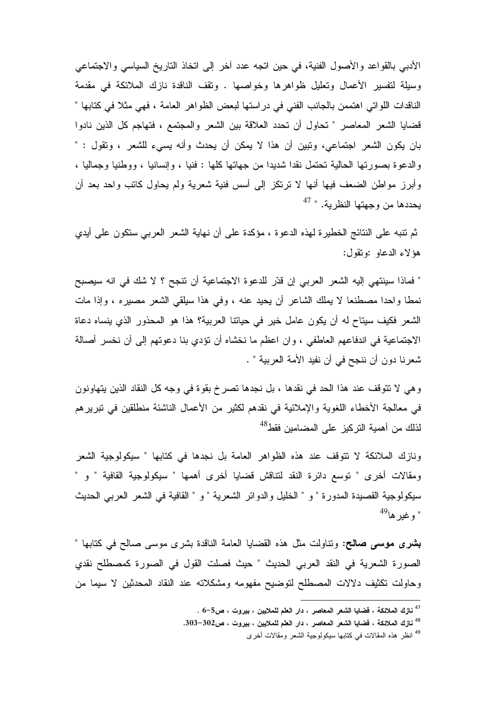الأدبي بالقواعد والأصول الفنية، في حين اتجه عدد أخر إلى اتخاذ التاريخ السياسي والاجتماعي وسيلة لتفسير الأعمال وتعليل ظواهرها وخواصها . وتقف الناقدة نازك الملائكة في مقدمة الناقدات اللواتي اهتممن بالجانب الفني في در استها لبعض الظواهر العامة ، فهي مثلا في كتابها " قضايا الشعر المعاصر " تحاول أن تحدد العلاقة بين الشعر والمجتمع ، فتهاجم كل الذين نادوا بان يكون الشعر اجتماعي، وتبين أن هذا لا يمكن أن يحدث وأنه يسيء للشعر ، وتقول : " والدعوة بصورتها الحالية تحتمل نقدا شديدا من جهاتها كلها : فنيا ، وإنسانيا ، ووطنيا وجماليا ، وأبرز مواطن الضعف فيها أنها لا نرتكز إلى أسس فنية شعرية ولم يحاول كاتب واحد بعد أن يحددها من وجهتها النظرية. " <sup>47</sup>

ثم تتبه على النتائج الخطيرة لهذه الدعوة ، مؤكدة على أن نهاية الشعر العربي ستكون على أيدي هؤ لاء الدعاو :وتقول:

" فماذا سينتهي إليه الشعر العربي إن قدّر للدعوة الاجتماعية أن تتجح ؟ لا شك في انه سيصبح نمطًا واحدًا مصطنعًا لا يملك الشَّاعر أن يحيد عنه ، وفي هذا سيلقي الشعر مصيره ، وإذا مات الشعر فكيف سيتاح له أن يكون عامل خير في حياتنا العربية؟ هذا هو المحذور الذي ينساه دعاة الاجتماعية في اندفاعهم العاطفي ، وان اعظم ما نخشاه أن نؤدي بنا دعوتهم إلى أن نخسر أصالة شعرنا دون أن ننجح في أن نفيد الأمة العربية " .

و هي لا نتوقف عند هذا الحد في نقدها ، بل نجدها تصرخ بقوة في وجه كل النقاد الذين يتهاونون في معالجة الأخطاء اللغوية والإملائية في نقدهم لكثير من الأعمال الناشئة منطلقين في تبرير هم لذلك من أهمية التركيز على المضامين فقط<sup>48</sup>

ونازك الملائكة لا نتوقف عند هذه الظواهر العامة بل نجدها في كتابها " سيكولوجية الشعر ومقالات أخرى " نوسع دائرة النقد لنتاقش قضايا أخرى أهمها " سيكولوجية القافية " و " سيكولوجية القصيدة المدورة " و " الخليل والدوائر الشعرية " و " القافية في الشعر العربي الحديث " و غير ها<sup>49</sup>

بشرى موسى صالح: ونناولت مثل هذه القضايا العامة الناقدة بشرى موسى صالح في كتابها " الصورة الشعرية في النقد العربي الحديث " حيث فصلت القول في الصورة كمصطلح نقدي وحاولت نكثيف دلالات المصطلح لتوضيح مفهومه ومشكلاته عند النقاد المحدثين لا سيما من

 $^{-5}$ نازك الملائكة ، فضايا الشعر المعاصر ، دار العلم للملايين ، بيروت ، ص5 $^{-5}$  .

<sup>&</sup>lt;sup>48</sup> نازك الملائكة ، فضايا الشعر المعاصر ، دار العلم للملايين ، بيروت ، ص302–303.

<sup>&</sup>lt;sup>49</sup> انظر هذه المقالات في كتابها سيكولوجية الشعر ومقالات أخرى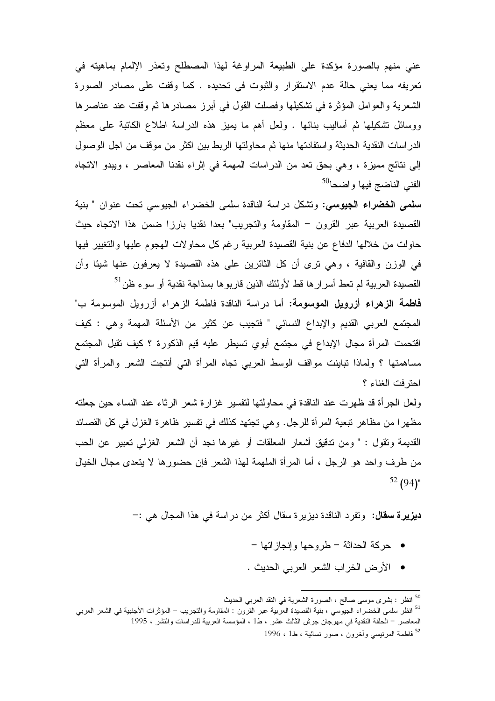عني منهم بالصورة مؤكدة على الطبيعة المراوغة لهذا المصطلح وتعذر الإلمام بماهيته في تعريفه مما يعني حالة عدم الاستقرار والثبوت في تحديده . كما وقفت على مصادر الصورة الشعرية والعوامل المؤثرة في نشكيلها وفصلت القول في أبرز مصادرها ثم وقفت عند عناصرها ووسائل نشكيلها ثم أساليب بنائها . ولعل أهم ما يميز هذه الدراسة اطلاع الكاتبة على معظم الدر اسات النقدية الحديثة و استفادتها منها ثم محاولتها الربط بين اكثر من موقف من اجل الوصول إلى نتائج مميزة ، وهي بحق تعد من الدراسات المهمة في إثراء نقدنا المعاصر ، ويبدو الاتجاه الفني الناضج فيها واضحا<sup>50</sup>

**سلمي الخضراء الجيوسي:** وتشكل دراسة الناقدة سلمي الخضراء الجيوسي تحت عنوان " بنية القصيدة العربية عبر القرون – المقاومة والتجريب" بعدا نقديا بارزا ضمن هذا الاتجاه حيث حاولت من خلالها الدفاع عن بنية القصيدة العربية رغم كل محاولات الهجوم عليها والتغيير فيها في الوزن والقافية ، وهي نرى أن كل الثائرين على هذه القصيدة لا يعرفون عنها شيئا وأن القصيدة العربية لم تعط أسرار ها قط لأولئك الذين قاربوها بسذاجة نقدية أو سوء ظن<sup>51</sup>

فاطمة الزهراء أزرويل الموسومة: أما دراسة الناقدة فاطمة الزهراء أزرويل الموسومة ب" المجتمع العربي القديم والإبداع النسائي " فتجيب عن كثير من الأسئلة المهمة وهي : كيف اقتحمت المرأة مجال الإبداع في مجتمع أبوي تسيطر عليه قيم الذكورة ؟ كيف تقبل المجتمع مساهمتها ؟ ولماذا تباينت مواقف الوسط العربـي تجاه المرأة التـي أنتجت الشعر والمرأة التـي احتر فت الغناء ؟

ولعل الجرأة قد ظهرت عند الناقدة في محاولتها لتفسير غزارة شعر الرثاء عند النساء حين جعلته مظهرا من مظاهر تبعية المرأة للرجل. وهي تجتهد كذلك في تفسير ظاهرة الغزل في كل القصائد القديمة ونقول : " ومن ندقيق أشعار المعلقات أو غيرها نجد أن الشعر الغزلمي تعبير عن الحب من طرف واحد هو الرجل ، أما المرأة الملهمة لهذا الشعر فإن حضورها لا يتعدى مجال الخيال  $52(94)$ "

**ديزيرة سقال:** وتفرد الناقدة ديزيرة سقال أكثر من دراسة في هذا المجال هي :–

- حركة الحداثة طروحها وإنجازاتها -
- الأرض الخراب الشعر العربي الحديث .

<sup>&</sup>lt;sup>50</sup> انظر : بشرى موسى صالح ، الصورة الشعرية في النقد العربي الحديث <sup>51</sup> انظر سلمى الخضراء الجيوسي ، بنية القصيدة العربية عبر القرون : المقاومة والتجريب – المؤثرات الأجنبية في الشعر العربي المعاصر – الحلقة النقدية في مهرجان جرش الثالث عشر ، ط1 ، المؤسسة العربية للدراسات والنشر ، 1995 <sup>52</sup> فاطمة المرنيسي وأخرون ، صور نسائية ، ط1 ، 1996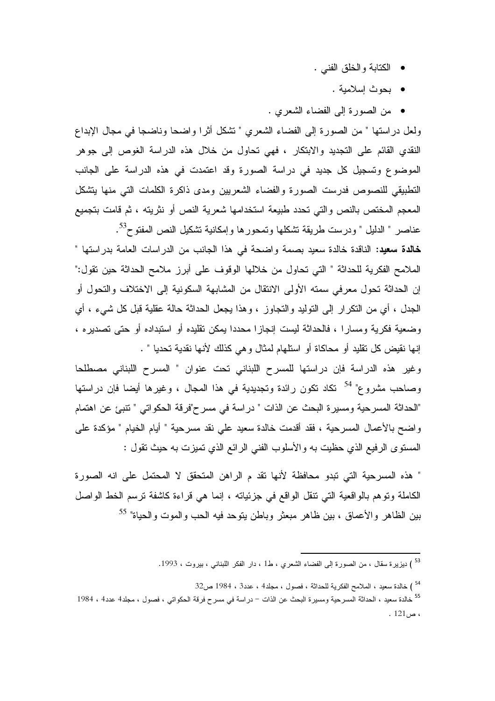- الكتابة والخلق الفني .
	- بحوث إسلامية .
- من الصورة إلى الفضاء الشعري .

ولعل دراستها " من الصورة إلى الفضاء الشعري " تشكل أثرًا واضحا وناضجا في مجال الإبداع النقدي القائم على التجديد والابتكار ، فهي تحاول من خلال هذه الدراسة الغوص إلى جوهر الموضوع وتسجيل كل جديد في دراسة الصورة وقد اعتمدت في هذه الدراسة على الجانب التطبيقي للنصوص فدرست الصورة والفضاء الشعريين ومدى ذاكرة الكلمات التي منها يتشكل المعجم المختص بالنص والتي تحدد طبيعة استخدامها شعرية النص أو نثريته ، ثم قامت بتجميع عناصر " الدليل " ودرست طريقة تشكلها وتمحورها وإمكانية تشكيل النص المفتوح<sup>53</sup>.

خالدة سعيد: الناقدة خالدة سعيد بصمة واضحة في هذا الجانب من الدراسات العامة بدراستها " الملامح الفكرية للحداثة " التي تحاول من خلالها الوقوف على أبرز ملامح الحداثة حين تقول:" إن الحداثة تحول معرفي سمته الأولى الانتقال من المشابهة السكونية إلى الاختلاف والتحول أو الجدل ، أي من النكر ار إلى النوليد والنجاوز ، وهذا يجعل الحداثة حالة عقلية قبل كل شيء ، أي وضعية فكرية ومسارا ، فالحداثة ليست إنجازا محددا يمكن تقليده أو استبداده أو حتى تصديره ، إنها نقيض كل نقليد أو محاكاة أو استلهام لمثال وهي كذلك لأنها نقدية تحديا " .

وغير هذه الدراسة فإن دراستها للمسرح اللبناني تحت عنوان " المسرح اللبناني مصطلحا وصـاحب مشروع" <sup>54</sup> تكاد تكون رائدة وتجديدية في هذا المجال ، وغيرها أيضـا فإن دراستها "الحداثة المسرحية ومسيرة البحث عن الذات " دراسة في مسر ح"فرقة الحكواتي " تتبئ عن اهتمام واضح بالأعمال المسرحية ، فقد أقدمت خالدة سعيد على نقد مسرحية " أيام الخيام " مؤكدة على المستوى الرفيع الذي حظيت به والأسلوب الفني الرائع الذي تميزت به حيث تقول :

" هذه المسرحية التي تبدو محافظة لأنها تقد م الراهن المتحقق لا المحتمل على انه الصورة الكاملة ونوهم بالواقعية التي نتقل الواقع في جزئياته ، إنما هي قراءة كاشفة نرسم الخط الواصل بين الظاهر والأعماق ، بين ظاهر مبعثر وباطن يتوحد فيه الحب والموت والحياة" <sup>55</sup>

<sup>&</sup>lt;sup>53</sup> ) ديزيرة سقال ، من الصورة إلى الفضاء الشعري ، ط1 ، دار الفكر اللبناني ، بيروت ، 1993.

<sup>&</sup>lt;sup>54</sup> ) خالدة سعيد ، الملامح الفكرية للحداثة ، فصول ، مجلد4 ، عدد3 ، 1984 ص32

<sup>&</sup>lt;sup>55</sup> خالدة سعيد ، الحداثة المسرحية ومسيرة البحث عن الذات – در اسة في مسرح فرقة الحكواتي ، فصول ، مجلد4 عدد4 ، 1984  $.121<sub>o</sub>$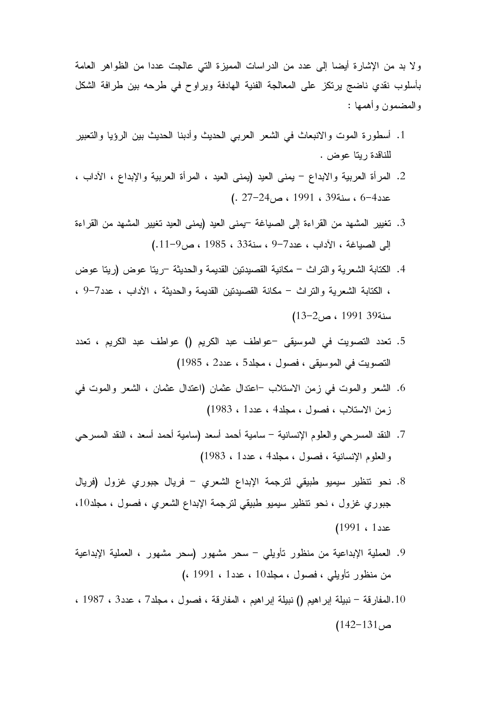ولا بد من الإشارة أيضا إلى عدد من الدراسات المميزة التي عالجت عددا من الظواهر العامة بأسلوب نقدي ناضج يرتكز على المعالجة الفنية الـهادفة ويراوح في طرحه بين طرافة الشكل و المضمون و أهمها :

- 1. أسطورة الموت والانبعاث في الشعر العربي الحديث وأدبنا الحديث بين الرؤيا والتعبير للناقدة ريتا عوض .
- 2. المرأة العربية والابداع يمنى العيد (يمنى العيد ، المرأة العربية والإبداع ، الأداب ، عدد4–6 ، سنة39 ، 1991 ، ص24–27 .)
- . تغيير المشهد من القراءة إلى الصياغة <sup>ــ</sup>يمنى العيد (يمنى العيد تغيير المشهد من القراءة  $(0.11 - 9)$ إلى الصياغة ، الآداب ، عدد7–9 ، سنة33 ، 1985 ، ص
- 4. الكتابة الشعرية والنراث مكانية القصيدتين القديمة والحديثة –ريتا عوض (ريتا عوض ، الكتابة الشعرية والنراث – مكانة القصيدنين القديمة والحديثة ، الأداب ، عدد7–9 ، سنة39 1991 ، ص2–13)
- 5. تعدد التصويت في الموسيقى –عواطف عبد الكريم () عواطف عبد الكريم ، تعدد التصويت في الموسيقى ، فصول ، مجلد5 ، عدد2 ، 1985)
- 6. الشعر والموت في زمن الاستلاب –اعتدال عثمان الشعر واللهوت في زمن الاستلاب ، فصول ، مجلد4 ، عدد1 ، 1983)
- 7. النقد المسرحي والعلوم الإنسانية سامية أحمد أسعد (سامية أحمد أسعد ، النقد المسرحي والعلوم الإنسانية ، فصول ، مجلد4 ، عدد1 ، 1983)
- 8. نحو تنظير سيميو طبيقي لترجمة الإبداع الشعري فريال جبوري غزول <mark>(</mark>فريال جبوري غزول ، نحو تنظير سيميو طبيقي لترجمة الإبداع الشعري ، فصول ، مجلد10، عدد 1 ، 1991)
- . العملية الإبداعية من منظور نأويل<sub>ى</sub> سحر مشهور (سحر مشهور ، العملية الإبداعية  $($ ، 1991 ، مجلد10 ، حجلد 10 ، 1991 ، (، 1991 )
- 10.المفارقة نبيلة إبراهيم () نبيلة إبراهيم ، المفارقة ، فصول ، مجلد7 ، عدد3 ، 1987 ،  $(142-131)$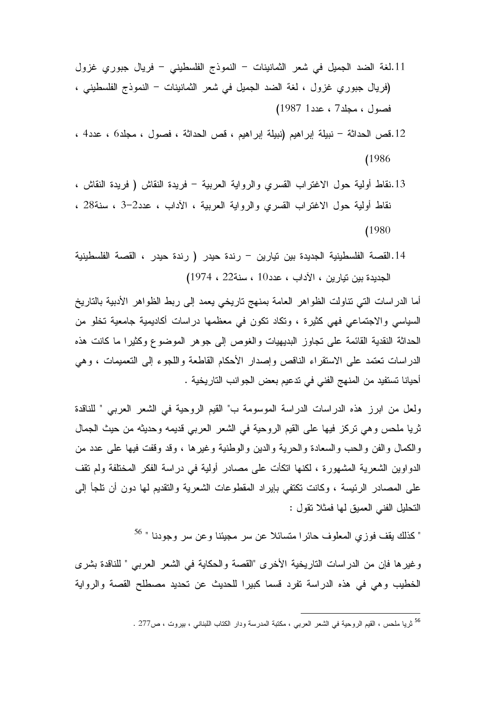- 11.لغة الضد الجميل في شعر الثمانينات النموذج الفلسطيني فريال جبوري غزول (فريال جبوري غزول ، لغة الضد الجميل في شعر الثمانينات – النموذج الفلسطيني ، فصول ، مجلد7 ، عدد1 1987)
- 12.قص الحداثة نبيلة إبراهيم (نبيلة إبراهيم ، قص الحداثة ، فصول ، مجلد6 ، عدد4 ،  $(1986)$
- 13.نقاط أولية حول الاغتراب القسري والرواية العربية فريدة النقاش ( فريدة النقاش ، نقاط أولية حول الاغتراب القسرى والرواية العربية ، الأداب ، عدد2–3 ، سنة28 ،  $(1980$
- 14.القصـة الفلسطينية الجديدة بين تيارين رندة حيدر ( رندة حيدر ، القصـة الفلسطينية الجديدة بين تيارين ، الآداب ، عدد10 ، سنة22 ، 1974)

أما الدراسات التي نناولت الظواهر العامة بمنهج ناريخي يعمد إلى ربط الظواهر الأدبية بالناريخ السياسي والاجتماعي فهي كثيرة ، ونكاد نكون في معظمها دراسات أكاديمية جامعية نخلو من الحداثة النقدية القائمة على تجاوز البديهيات والغوص إلى جوهر الموضوع وكثيرا ما كانت هذه الدراسات تعتمد على الاستقراء الناقص وإصدار الأحكام القاطعة واللجوء إلىي التعميمات ، وهي أحيانا تستفيد من المنهج الفني في تدعيم بعض الجوانب التاريخية .

ولعل من ابرز هذه الدراسات الدراسة الموسومة ب" القيم الروحية في الشعر العربي " للناقدة ثريا ملحس وهي تركز فيها على القيم الروحية في الشعر العربي قديمه وحديثه من حيث الجمال والكمال والفن والحب والسعادة والحرية والدين والوطنية وغيرها ، وقد وقفت فيها على عدد من الدو اوين الشعرية المشهورة ، لكنها اتكأت على مصادر أولية في در اسة الفكر المختلفة ولم تقف علمي المصـادر الرئيسة ، وكانت تكتفي بايراد المقطوعات الشعرية والتقديم لـها دون أن نلجأ إلـي النحليل الفني العميق لمها فمثلا نقول :

" كذلك يقف فوزي المعلوف حائرا متسائلا عن سر مجيئنا وعن سر وجودنا " <sup>56</sup>

وغيرها فإن من الدراسات التاريخية الأخرى "القصة والحكاية في الشعر العربي " للناقدة بشرى الخطيب وهي في هذه الدراسة تفرد قسما كبيرا للحديث عن تحديد مصطلح القصة والرواية

<sup>&</sup>lt;sup>56</sup> ثريا ملحس ، القيم الروحية فى الشعر العربى ، مكتبة المدرسة ودار الكتاب اللبنانـي ، بيروت ، ص277 .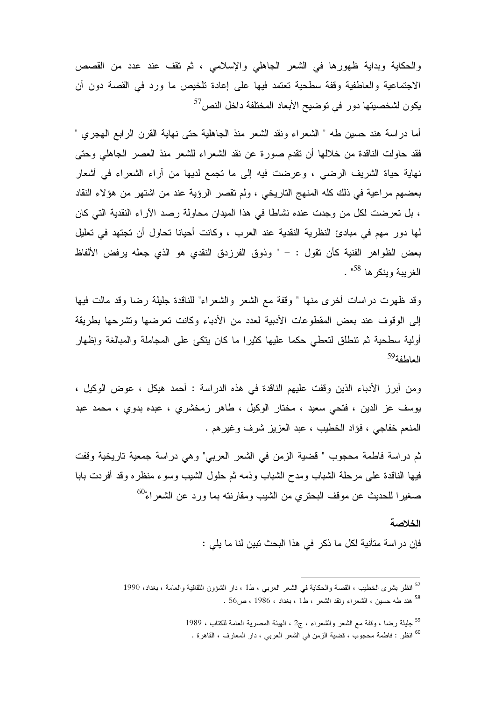والحكاية وبداية ظهورها في الشعر الجاهلي والإسلامي ، ثم نقف عند عدد من القصص الاجتماعية والعاطفية وقفة سطحية تعتمد فيها على إعادة تلخيص ما ورد في القصة دون أن  $^{57}$ يكون لشخصيتها دور في توضيح الأبعاد المختلفة داخل النص

أما دراسة هند حسين طه " الشعراء ونقد الشعر منذ الجاهلية حتى نهاية القرن الرابع المهجري " فقد حاولت الناقدة من خلالها أن نقدم صورة عن نقد الشعراء للشعر منذ العصر الجاهلي وحتى نهاية حياة الشريف الرضبي ، وعرضت فيه إلى ما نجمع لديها من أراء الشعراء في أشعار بعضهم مراعية في ذلك كله المنهج التاريخي ، ولم تقصر الرؤية عند من اشتهر من هؤلاء النقاد ، بل تعرضت لكل من وجدت عنده نشاطًا في هذا الميدان محاولة رصد الآراء النقدية التي كان لمها دور مهم في مبادئ النظرية النقدية عند العرب ، وكانت أحيانا تحاول أن تجتهد في تعليل بعض الظواهر الفنية كأن نقول : – " وذوق الفرزدق النقدى هو الذي جعله يرفض الألفاظ الغربية وبنكر ها <sup>58</sup>".

وقد ظهرت دراسات أخرى منها " وقفة مع الشعر والشعراء" للناقدة جليلة رضا وقد مالت فيها إلى الوقوف عند بعض المقطوعات الأدبية لعدد من الأدباء وكانت تعرضها وتشرحها بطريقة أولية سطحية ثم تنطلق لتعطي حكما عليها كثيرا ما كان يتكئ على المجاملة والمبالغة وإظهار العاطفة<sup>59</sup>

ومن أبرز الأدباء الذين وقفت عليهم الناقدة في هذه الدراسة : أحمد هيكل ، عوض الوكيل ، يوسف عز الدين ، فتحي سعيد ، مختار الوكيل ، طاهر زمخشري ، عبده بدوي ، محمد عبد المنعم خفاجي ، فؤاد الخطيب ، عبد العزيز شرف وغيرهم .

ثم دراسة فاطمة محجوب " قضية الزمن في الشعر العربي" وهي دراسة جمعية تاريخية وقفت فيها الناقدة على مرحلة الشباب ومدح الشباب وذمه ثم حلول الشيب وسوء منظره وقد أفردت بابا صغيرا للحديث عن موقف البحتري من الشيب ومقارنته بما ورد عن الشعراء<sup>60</sup>

#### الخلاصة

فإن در اسة متأنية لكل ما ذكر في هذا البحث تبين لنا ما يلي :

<sup>&</sup>lt;sup>57</sup> انظر بشرى الخطيب ، القصة والحكاية في الشعر العربي ، ط1 ، دار الشؤون الثقافية والعامة ، بغداد، 1990 <sup>58</sup> هند طه حسين ، الشعراء ونقد الشعر ، ط1 ، بغداد ، 1986 ، ص56 .

<sup>&</sup>lt;sup>59</sup> جليلة رضا ، وقفة مع الشعر والشعراء ، ج2 ، الهيئة المصرية العامة للكتاب ، 1989

<sup>&</sup>lt;sup>60</sup> انظر : فاطمة محجوب ، قضية الزمن في الشعر العربـي ، دار المعارف ، القاهرة .